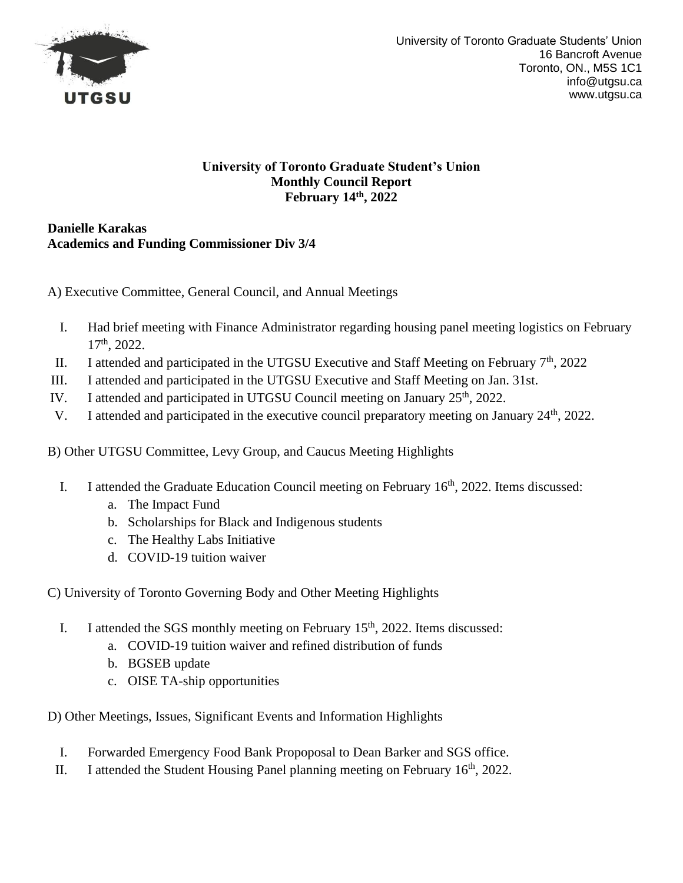

### **University of Toronto Graduate Student's Union Monthly Council Report February 14th, 2022**

**Danielle Karakas Academics and Funding Commissioner Div 3/4**

A) Executive Committee, General Council, and Annual Meetings

- I. Had brief meeting with Finance Administrator regarding housing panel meeting logistics on February 17th, 2022.
- II. I attended and participated in the UTGSU Executive and Staff Meeting on February  $7<sup>th</sup>$ , 2022
- III. I attended and participated in the UTGSU Executive and Staff Meeting on Jan. 31st.
- IV. I attended and participated in UTGSU Council meeting on January  $25<sup>th</sup>$ , 2022.
- V. I attended and participated in the executive council preparatory meeting on January 24<sup>th</sup>, 2022.

B) Other UTGSU Committee, Levy Group, and Caucus Meeting Highlights

- I. I attended the Graduate Education Council meeting on February  $16<sup>th</sup>$ , 2022. Items discussed:
	- a. The Impact Fund
	- b. Scholarships for Black and Indigenous students
	- c. The Healthy Labs Initiative
	- d. COVID-19 tuition waiver

C) University of Toronto Governing Body and Other Meeting Highlights

- I. I attended the SGS monthly meeting on February  $15<sup>th</sup>$ , 2022. Items discussed:
	- a. COVID-19 tuition waiver and refined distribution of funds
	- b. BGSEB update
	- c. OISE TA-ship opportunities

- I. Forwarded Emergency Food Bank Propoposal to Dean Barker and SGS office.
- II. I attended the Student Housing Panel planning meeting on February  $16<sup>th</sup>$ , 2022.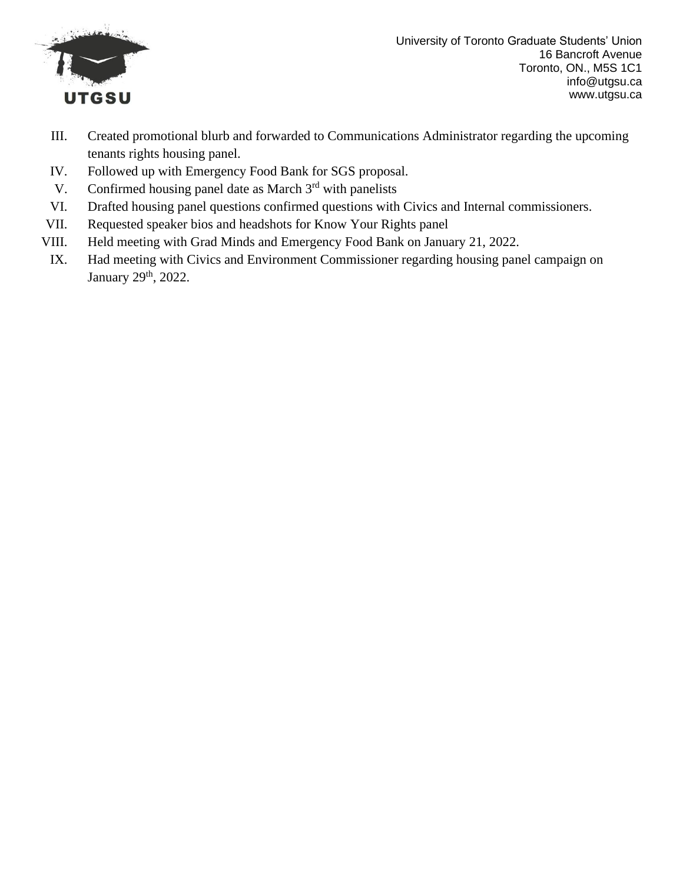

University of Toronto Graduate Students' Union 16 Bancroft Avenue Toronto, ON., M5S 1C1 info@utgsu.ca www.utgsu.ca

- III. Created promotional blurb and forwarded to Communications Administrator regarding the upcoming tenants rights housing panel.
- IV. Followed up with Emergency Food Bank for SGS proposal.
- V. Confirmed housing panel date as March  $3<sup>rd</sup>$  with panelists
- VI. Drafted housing panel questions confirmed questions with Civics and Internal commissioners.
- VII. Requested speaker bios and headshots for Know Your Rights panel
- VIII. Held meeting with Grad Minds and Emergency Food Bank on January 21, 2022.
- IX. Had meeting with Civics and Environment Commissioner regarding housing panel campaign on January 29<sup>th</sup>, 2022.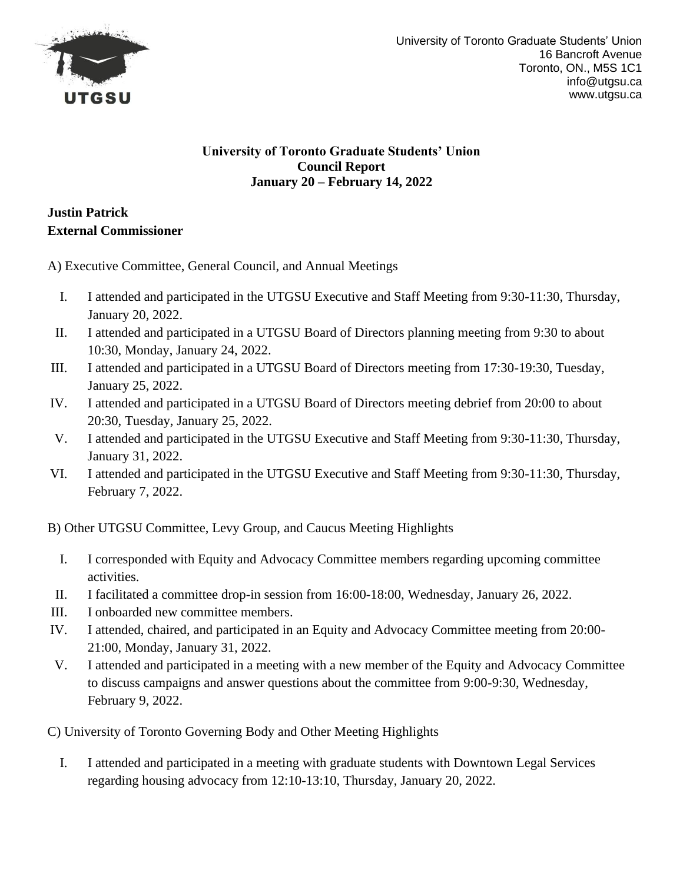

### **University of Toronto Graduate Students' Union Council Report January 20 – February 14, 2022**

# **Justin Patrick External Commissioner**

A) Executive Committee, General Council, and Annual Meetings

- I. I attended and participated in the UTGSU Executive and Staff Meeting from 9:30-11:30, Thursday, January 20, 2022.
- II. I attended and participated in a UTGSU Board of Directors planning meeting from 9:30 to about 10:30, Monday, January 24, 2022.
- III. I attended and participated in a UTGSU Board of Directors meeting from 17:30-19:30, Tuesday, January 25, 2022.
- IV. I attended and participated in a UTGSU Board of Directors meeting debrief from 20:00 to about 20:30, Tuesday, January 25, 2022.
- V. I attended and participated in the UTGSU Executive and Staff Meeting from 9:30-11:30, Thursday, January 31, 2022.
- VI. I attended and participated in the UTGSU Executive and Staff Meeting from 9:30-11:30, Thursday, February 7, 2022.

B) Other UTGSU Committee, Levy Group, and Caucus Meeting Highlights

- I. I corresponded with Equity and Advocacy Committee members regarding upcoming committee activities.
- II. I facilitated a committee drop-in session from 16:00-18:00, Wednesday, January 26, 2022.
- III. I onboarded new committee members.
- IV. I attended, chaired, and participated in an Equity and Advocacy Committee meeting from 20:00- 21:00, Monday, January 31, 2022.
- V. I attended and participated in a meeting with a new member of the Equity and Advocacy Committee to discuss campaigns and answer questions about the committee from 9:00-9:30, Wednesday, February 9, 2022.

C) University of Toronto Governing Body and Other Meeting Highlights

I. I attended and participated in a meeting with graduate students with Downtown Legal Services regarding housing advocacy from 12:10-13:10, Thursday, January 20, 2022.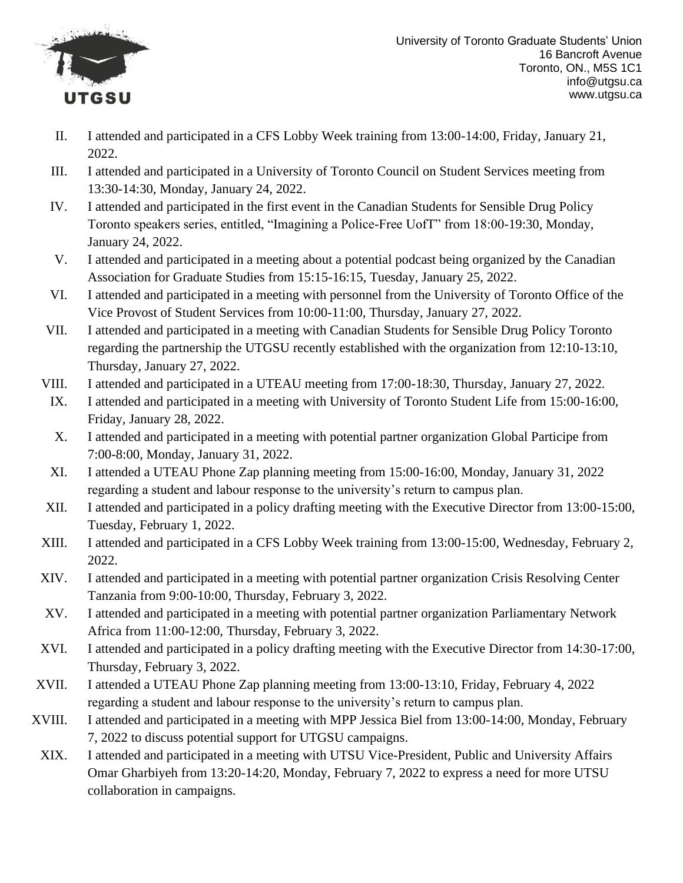

- II. I attended and participated in a CFS Lobby Week training from 13:00-14:00, Friday, January 21, 2022.
- III. I attended and participated in a University of Toronto Council on Student Services meeting from 13:30-14:30, Monday, January 24, 2022.
- IV. I attended and participated in the first event in the Canadian Students for Sensible Drug Policy Toronto speakers series, entitled, "Imagining a Police-Free UofT" from 18:00-19:30, Monday, January 24, 2022.
- V. I attended and participated in a meeting about a potential podcast being organized by the Canadian Association for Graduate Studies from 15:15-16:15, Tuesday, January 25, 2022.
- VI. I attended and participated in a meeting with personnel from the University of Toronto Office of the Vice Provost of Student Services from 10:00-11:00, Thursday, January 27, 2022.
- VII. I attended and participated in a meeting with Canadian Students for Sensible Drug Policy Toronto regarding the partnership the UTGSU recently established with the organization from 12:10-13:10, Thursday, January 27, 2022.
- VIII. I attended and participated in a UTEAU meeting from 17:00-18:30, Thursday, January 27, 2022.
- IX. I attended and participated in a meeting with University of Toronto Student Life from 15:00-16:00, Friday, January 28, 2022.
- X. I attended and participated in a meeting with potential partner organization Global Participe from 7:00-8:00, Monday, January 31, 2022.
- XI. I attended a UTEAU Phone Zap planning meeting from 15:00-16:00, Monday, January 31, 2022 regarding a student and labour response to the university's return to campus plan.
- XII. I attended and participated in a policy drafting meeting with the Executive Director from 13:00-15:00, Tuesday, February 1, 2022.
- XIII. I attended and participated in a CFS Lobby Week training from 13:00-15:00, Wednesday, February 2, 2022.
- XIV. I attended and participated in a meeting with potential partner organization Crisis Resolving Center Tanzania from 9:00-10:00, Thursday, February 3, 2022.
- XV. I attended and participated in a meeting with potential partner organization Parliamentary Network Africa from 11:00-12:00, Thursday, February 3, 2022.
- XVI. I attended and participated in a policy drafting meeting with the Executive Director from 14:30-17:00, Thursday, February 3, 2022.
- XVII. I attended a UTEAU Phone Zap planning meeting from 13:00-13:10, Friday, February 4, 2022 regarding a student and labour response to the university's return to campus plan.
- XVIII. I attended and participated in a meeting with MPP Jessica Biel from 13:00-14:00, Monday, February 7, 2022 to discuss potential support for UTGSU campaigns.
- XIX. I attended and participated in a meeting with UTSU Vice-President, Public and University Affairs Omar Gharbiyeh from 13:20-14:20, Monday, February 7, 2022 to express a need for more UTSU collaboration in campaigns.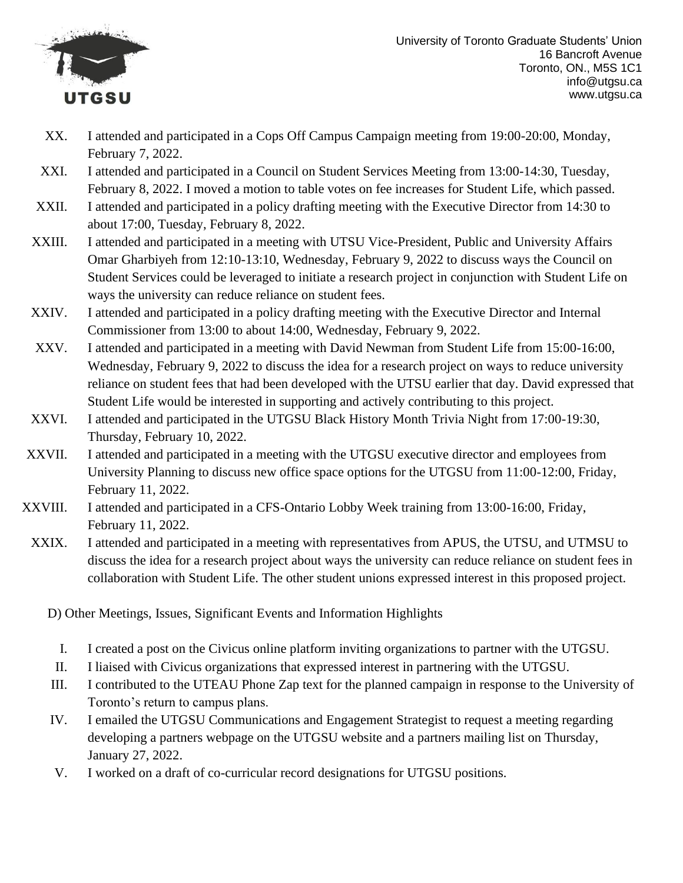

- XX. I attended and participated in a Cops Off Campus Campaign meeting from 19:00-20:00, Monday, February 7, 2022.
- XXI. I attended and participated in a Council on Student Services Meeting from 13:00-14:30, Tuesday, February 8, 2022. I moved a motion to table votes on fee increases for Student Life, which passed.
- XXII. I attended and participated in a policy drafting meeting with the Executive Director from 14:30 to about 17:00, Tuesday, February 8, 2022.
- XXIII. I attended and participated in a meeting with UTSU Vice-President, Public and University Affairs Omar Gharbiyeh from 12:10-13:10, Wednesday, February 9, 2022 to discuss ways the Council on Student Services could be leveraged to initiate a research project in conjunction with Student Life on ways the university can reduce reliance on student fees.
- XXIV. I attended and participated in a policy drafting meeting with the Executive Director and Internal Commissioner from 13:00 to about 14:00, Wednesday, February 9, 2022.
- XXV. I attended and participated in a meeting with David Newman from Student Life from 15:00-16:00, Wednesday, February 9, 2022 to discuss the idea for a research project on ways to reduce university reliance on student fees that had been developed with the UTSU earlier that day. David expressed that Student Life would be interested in supporting and actively contributing to this project.
- XXVI. I attended and participated in the UTGSU Black History Month Trivia Night from 17:00-19:30, Thursday, February 10, 2022.
- XXVII. I attended and participated in a meeting with the UTGSU executive director and employees from University Planning to discuss new office space options for the UTGSU from 11:00-12:00, Friday, February 11, 2022.
- XXVIII. I attended and participated in a CFS-Ontario Lobby Week training from 13:00-16:00, Friday, February 11, 2022.
	- XXIX. I attended and participated in a meeting with representatives from APUS, the UTSU, and UTMSU to discuss the idea for a research project about ways the university can reduce reliance on student fees in collaboration with Student Life. The other student unions expressed interest in this proposed project.

- I. I created a post on the Civicus online platform inviting organizations to partner with the UTGSU.
- II. I liaised with Civicus organizations that expressed interest in partnering with the UTGSU.
- III. I contributed to the UTEAU Phone Zap text for the planned campaign in response to the University of Toronto's return to campus plans.
- IV. I emailed the UTGSU Communications and Engagement Strategist to request a meeting regarding developing a partners webpage on the UTGSU website and a partners mailing list on Thursday, January 27, 2022.
- V. I worked on a draft of co-curricular record designations for UTGSU positions.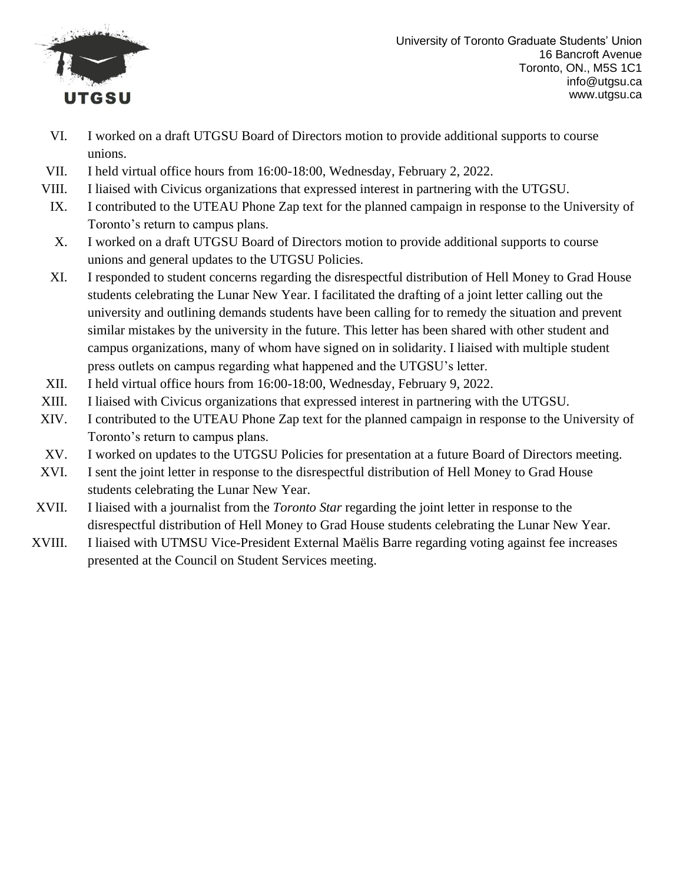

- VI. I worked on a draft UTGSU Board of Directors motion to provide additional supports to course unions.
- VII. I held virtual office hours from 16:00-18:00, Wednesday, February 2, 2022.
- VIII. I liaised with Civicus organizations that expressed interest in partnering with the UTGSU.
- IX. I contributed to the UTEAU Phone Zap text for the planned campaign in response to the University of Toronto's return to campus plans.
- X. I worked on a draft UTGSU Board of Directors motion to provide additional supports to course unions and general updates to the UTGSU Policies.
- XI. I responded to student concerns regarding the disrespectful distribution of Hell Money to Grad House students celebrating the Lunar New Year. I facilitated the drafting of a joint letter calling out the university and outlining demands students have been calling for to remedy the situation and prevent similar mistakes by the university in the future. This letter has been shared with other student and campus organizations, many of whom have signed on in solidarity. I liaised with multiple student press outlets on campus regarding what happened and the UTGSU's letter.
- XII. I held virtual office hours from 16:00-18:00, Wednesday, February 9, 2022.
- XIII. I liaised with Civicus organizations that expressed interest in partnering with the UTGSU.
- XIV. I contributed to the UTEAU Phone Zap text for the planned campaign in response to the University of Toronto's return to campus plans.
- XV. I worked on updates to the UTGSU Policies for presentation at a future Board of Directors meeting.
- XVI. I sent the joint letter in response to the disrespectful distribution of Hell Money to Grad House students celebrating the Lunar New Year.
- XVII. I liaised with a journalist from the *Toronto Star* regarding the joint letter in response to the disrespectful distribution of Hell Money to Grad House students celebrating the Lunar New Year.
- XVIII. I liaised with UTMSU Vice-President External Maëlis Barre regarding voting against fee increases presented at the Council on Student Services meeting.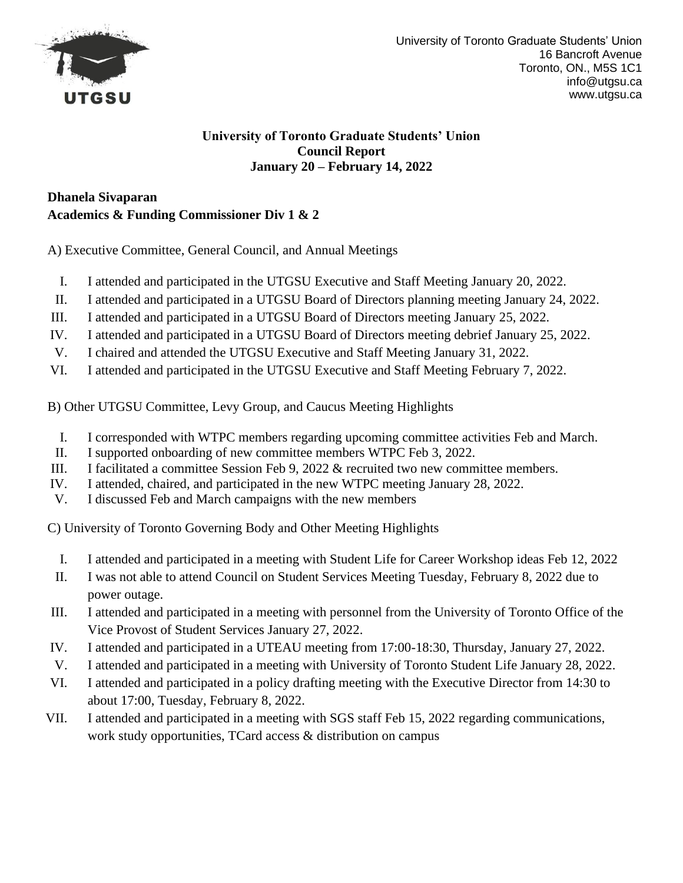

#### **University of Toronto Graduate Students' Union Council Report January 20 – February 14, 2022**

# **Dhanela Sivaparan Academics & Funding Commissioner Div 1 & 2**

A) Executive Committee, General Council, and Annual Meetings

- I. I attended and participated in the UTGSU Executive and Staff Meeting January 20, 2022.
- II. I attended and participated in a UTGSU Board of Directors planning meeting January 24, 2022.
- III. I attended and participated in a UTGSU Board of Directors meeting January 25, 2022.
- IV. I attended and participated in a UTGSU Board of Directors meeting debrief January 25, 2022.
- V. I chaired and attended the UTGSU Executive and Staff Meeting January 31, 2022.
- VI. I attended and participated in the UTGSU Executive and Staff Meeting February 7, 2022.

B) Other UTGSU Committee, Levy Group, and Caucus Meeting Highlights

- I. I corresponded with WTPC members regarding upcoming committee activities Feb and March.
- II. I supported onboarding of new committee members WTPC Feb 3, 2022.
- III. I facilitated a committee Session Feb 9, 2022 & recruited two new committee members.
- IV. I attended, chaired, and participated in the new WTPC meeting January 28, 2022.
- V. I discussed Feb and March campaigns with the new members

C) University of Toronto Governing Body and Other Meeting Highlights

- I. I attended and participated in a meeting with Student Life for Career Workshop ideas Feb 12, 2022
- II. I was not able to attend Council on Student Services Meeting Tuesday, February 8, 2022 due to power outage.
- III. I attended and participated in a meeting with personnel from the University of Toronto Office of the Vice Provost of Student Services January 27, 2022.
- IV. I attended and participated in a UTEAU meeting from 17:00-18:30, Thursday, January 27, 2022.
- V. I attended and participated in a meeting with University of Toronto Student Life January 28, 2022.
- VI. I attended and participated in a policy drafting meeting with the Executive Director from 14:30 to about 17:00, Tuesday, February 8, 2022.
- VII. I attended and participated in a meeting with SGS staff Feb 15, 2022 regarding communications, work study opportunities, TCard access & distribution on campus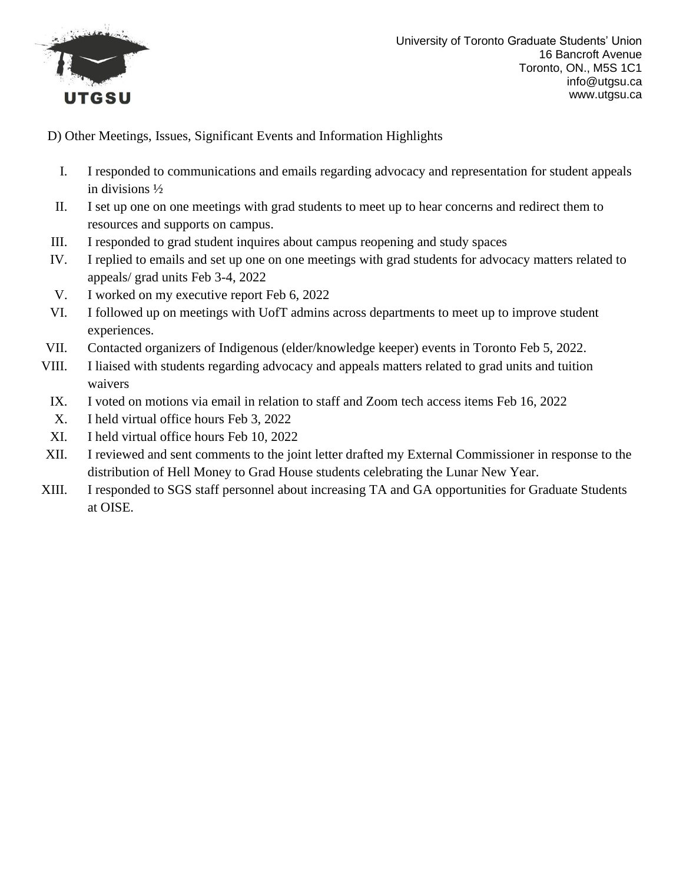

- I. I responded to communications and emails regarding advocacy and representation for student appeals in divisions ½
- II. I set up one on one meetings with grad students to meet up to hear concerns and redirect them to resources and supports on campus.
- III. I responded to grad student inquires about campus reopening and study spaces
- IV. I replied to emails and set up one on one meetings with grad students for advocacy matters related to appeals/ grad units Feb 3-4, 2022
- V. I worked on my executive report Feb 6, 2022
- VI. I followed up on meetings with UofT admins across departments to meet up to improve student experiences.
- VII. Contacted organizers of Indigenous (elder/knowledge keeper) events in Toronto Feb 5, 2022.
- VIII. I liaised with students regarding advocacy and appeals matters related to grad units and tuition waivers
- IX. I voted on motions via email in relation to staff and Zoom tech access items Feb 16, 2022
- X. I held virtual office hours Feb 3, 2022
- XI. I held virtual office hours Feb 10, 2022
- XII. I reviewed and sent comments to the joint letter drafted my External Commissioner in response to the distribution of Hell Money to Grad House students celebrating the Lunar New Year.
- XIII. I responded to SGS staff personnel about increasing TA and GA opportunities for Graduate Students at OISE.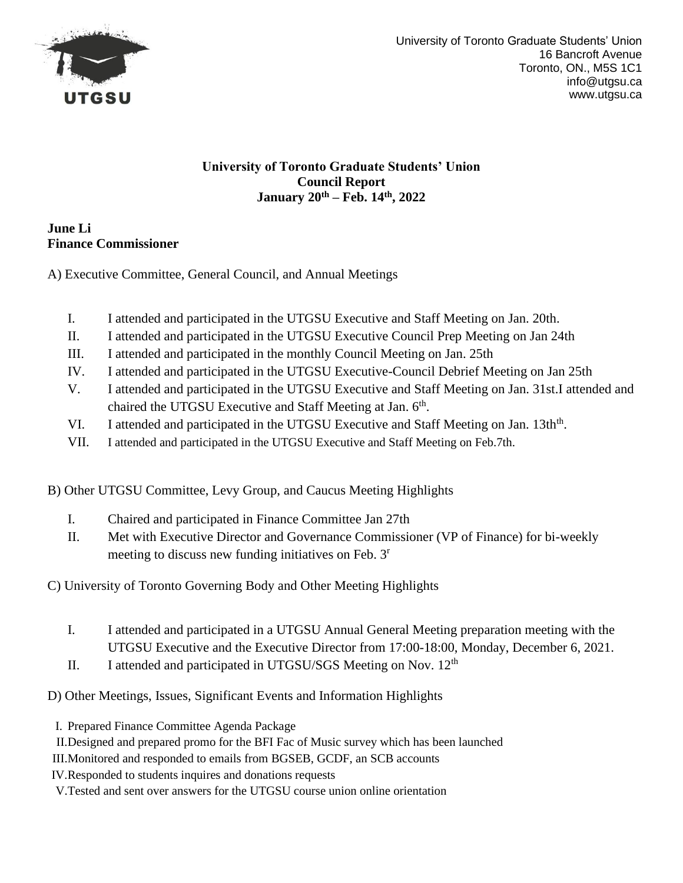

### **University of Toronto Graduate Students' Union Council Report January 20th – Feb. 14th, 2022**

### **June Li Finance Commissioner**

A) Executive Committee, General Council, and Annual Meetings

- I. I attended and participated in the UTGSU Executive and Staff Meeting on Jan. 20th.
- II. I attended and participated in the UTGSU Executive Council Prep Meeting on Jan 24th
- III. I attended and participated in the monthly Council Meeting on Jan. 25th
- IV. I attended and participated in the UTGSU Executive-Council Debrief Meeting on Jan 25th
- V. I attended and participated in the UTGSU Executive and Staff Meeting on Jan. 31st.I attended and chaired the UTGSU Executive and Staff Meeting at Jan. 6<sup>th</sup>.
- VI. I attended and participated in the UTGSU Executive and Staff Meeting on Jan. 13th<sup>th</sup>.
- VII. I attended and participated in the UTGSU Executive and Staff Meeting on Feb.7th.

B) Other UTGSU Committee, Levy Group, and Caucus Meeting Highlights

- I. Chaired and participated in Finance Committee Jan 27th
- II. Met with Executive Director and Governance Commissioner (VP of Finance) for bi-weekly meeting to discuss new funding initiatives on Feb. 3<sup>r</sup>

C) University of Toronto Governing Body and Other Meeting Highlights

- I. I attended and participated in a UTGSU Annual General Meeting preparation meeting with the UTGSU Executive and the Executive Director from 17:00-18:00, Monday, December 6, 2021.
- II. I attended and participated in UTGSU/SGS Meeting on Nov.  $12<sup>th</sup>$

- I. Prepared Finance Committee Agenda Package
- II.Designed and prepared promo for the BFI Fac of Music survey which has been launched
- III.Monitored and responded to emails from BGSEB, GCDF, an SCB accounts
- IV.Responded to students inquires and donations requests
- V.Tested and sent over answers for the UTGSU course union online orientation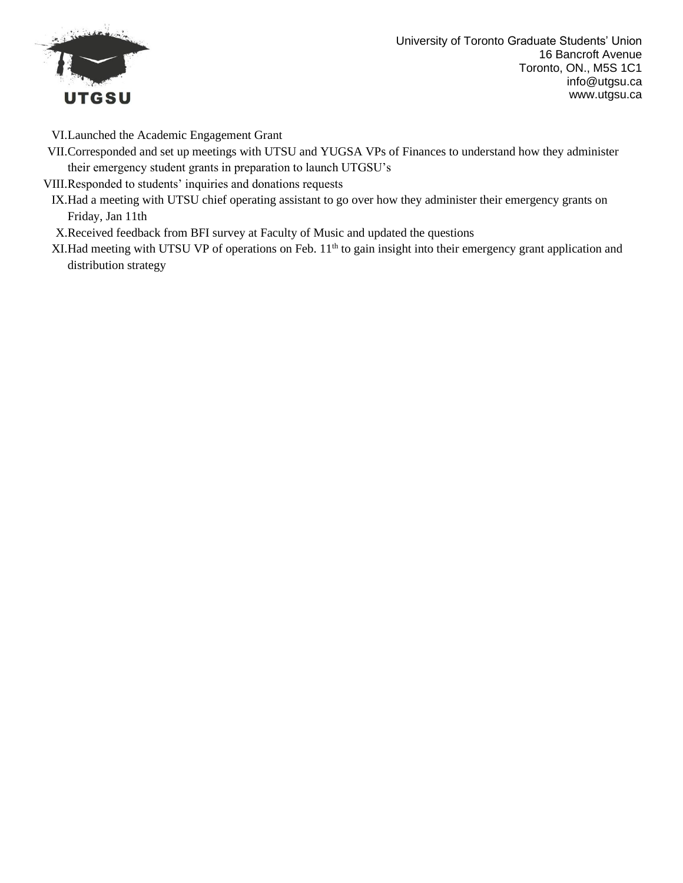

VI.Launched the Academic Engagement Grant

VII.Corresponded and set up meetings with UTSU and YUGSA VPs of Finances to understand how they administer their emergency student grants in preparation to launch UTGSU's

VIII.Responded to students' inquiries and donations requests

IX.Had a meeting with UTSU chief operating assistant to go over how they administer their emergency grants on Friday, Jan 11th

X.Received feedback from BFI survey at Faculty of Music and updated the questions

XI. Had meeting with UTSU VP of operations on Feb.  $11<sup>th</sup>$  to gain insight into their emergency grant application and distribution strategy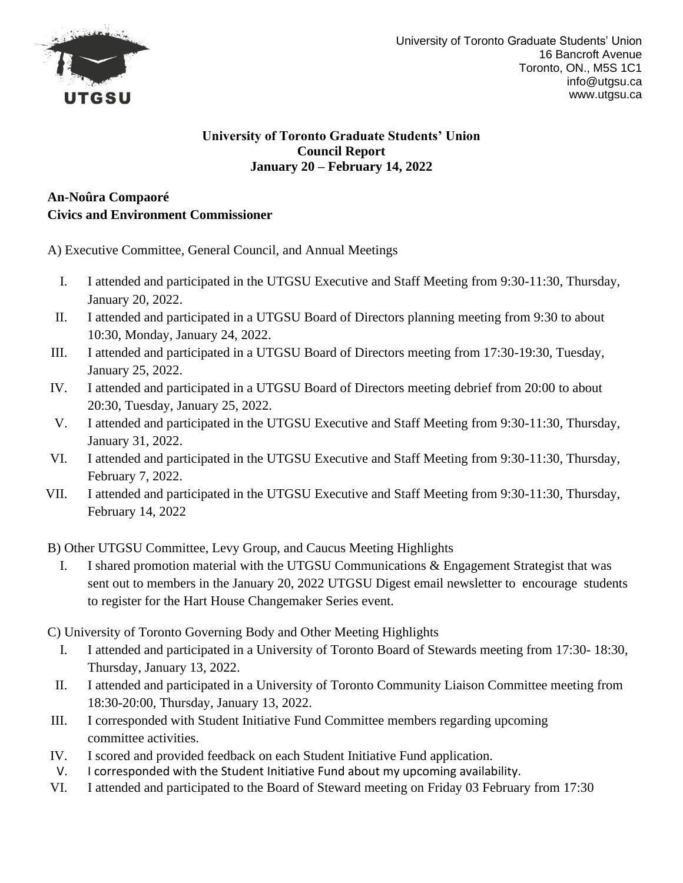

#### **University of Toronto Graduate Students' Union Council Report January 20 – February 14, 2022**

## **An-Noûra Compaoré Civics and Environment Commissioner**

A) Executive Committee, General Council, and Annual Meetings

- I. I attended and participated in the UTGSU Executive and Staff Meeting from 9:30-11:30, Thursday, January 20, 2022.
- II. I attended and participated in a UTGSU Board of Directors planning meeting from 9:30 to about 10:30, Monday, January 24, 2022.
- III. I attended and participated in a UTGSU Board of Directors meeting from 17:30-19:30, Tuesday, January 25, 2022.
- IV. I attended and participated in a UTGSU Board of Directors meeting debrief from 20:00 to about 20:30, Tuesday, January 25, 2022.
- V. I attended and participated in the UTGSU Executive and Staff Meeting from 9:30-11:30, Thursday, January 31, 2022.
- VI. I attended and participated in the UTGSU Executive and Staff Meeting from 9:30-11:30, Thursday, February 7, 2022.
- VII. I attended and participated in the UTGSU Executive and Staff Meeting from 9:30-11:30, Thursday, February 14, 2022

B) Other UTGSU Committee, Levy Group, and Caucus Meeting Highlights

- I. I shared promotion material with the UTGSU Communications & Engagement Strategist that was sent out to members in the January 20, 2022 UTGSU Digest email newsletter to encourage students to register for the Hart House Changemaker Series event.
- C) University of Toronto Governing Body and Other Meeting Highlights
	- I. I attended and participated in a University of Toronto Board of Stewards meeting from 17:30- 18:30, Thursday, January 13, 2022.
- II. I attended and participated in a University of Toronto Community Liaison Committee meeting from 18:30-20:00, Thursday, January 13, 2022.
- III. I corresponded with Student Initiative Fund Committee members regarding upcoming committee activities.
- IV. I scored and provided feedback on each Student Initiative Fund application.
- V. I corresponded with the Student Initiative Fund about my upcoming availability.
- VI. I attended and participated to the Board of Steward meeting on Friday 03 February from 17:30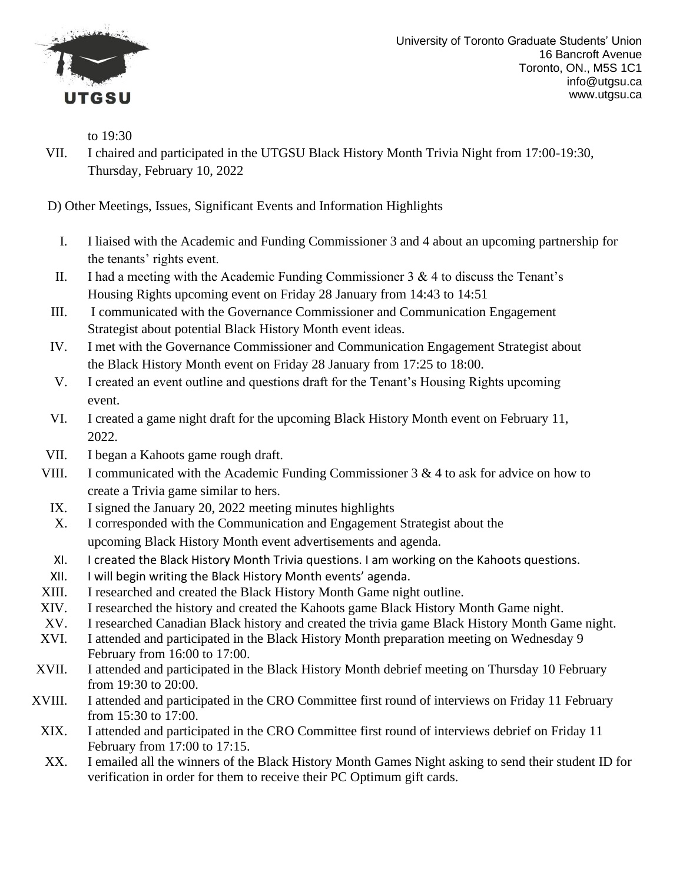

to 19:30

VII. I chaired and participated in the UTGSU Black History Month Trivia Night from 17:00-19:30, Thursday, February 10, 2022

- I. I liaised with the Academic and Funding Commissioner 3 and 4 about an upcoming partnership for the tenants' rights event.
- II. I had a meeting with the Academic Funding Commissioner  $3 \& 4$  to discuss the Tenant's Housing Rights upcoming event on Friday 28 January from 14:43 to 14:51
- III. I communicated with the Governance Commissioner and Communication Engagement Strategist about potential Black History Month event ideas.
- IV. I met with the Governance Commissioner and Communication Engagement Strategist about the Black History Month event on Friday 28 January from 17:25 to 18:00.
- V. I created an event outline and questions draft for the Tenant's Housing Rights upcoming event.
- VI. I created a game night draft for the upcoming Black History Month event on February 11, 2022.
- VII. I began a Kahoots game rough draft.
- VIII. I communicated with the Academic Funding Commissioner  $3 \& 4$  to ask for advice on how to create a Trivia game similar to hers.
	- IX. I signed the January 20, 2022 meeting minutes highlights
	- X. I corresponded with the Communication and Engagement Strategist about the upcoming Black History Month event advertisements and agenda.
	- XI. I created the Black History Month Trivia questions. I am working on the Kahoots questions.
- XII. I will begin writing the Black History Month events' agenda.
- XIII. I researched and created the Black History Month Game night outline.
- XIV. I researched the history and created the Kahoots game Black History Month Game night.
- XV. I researched Canadian Black history and created the trivia game Black History Month Game night.
- XVI. I attended and participated in the Black History Month preparation meeting on Wednesday 9 February from 16:00 to 17:00.
- XVII. I attended and participated in the Black History Month debrief meeting on Thursday 10 February from 19:30 to 20:00.
- XVIII. I attended and participated in the CRO Committee first round of interviews on Friday 11 February from 15:30 to 17:00.
- XIX. I attended and participated in the CRO Committee first round of interviews debrief on Friday 11 February from 17:00 to 17:15.
- XX. I emailed all the winners of the Black History Month Games Night asking to send their student ID for verification in order for them to receive their PC Optimum gift cards.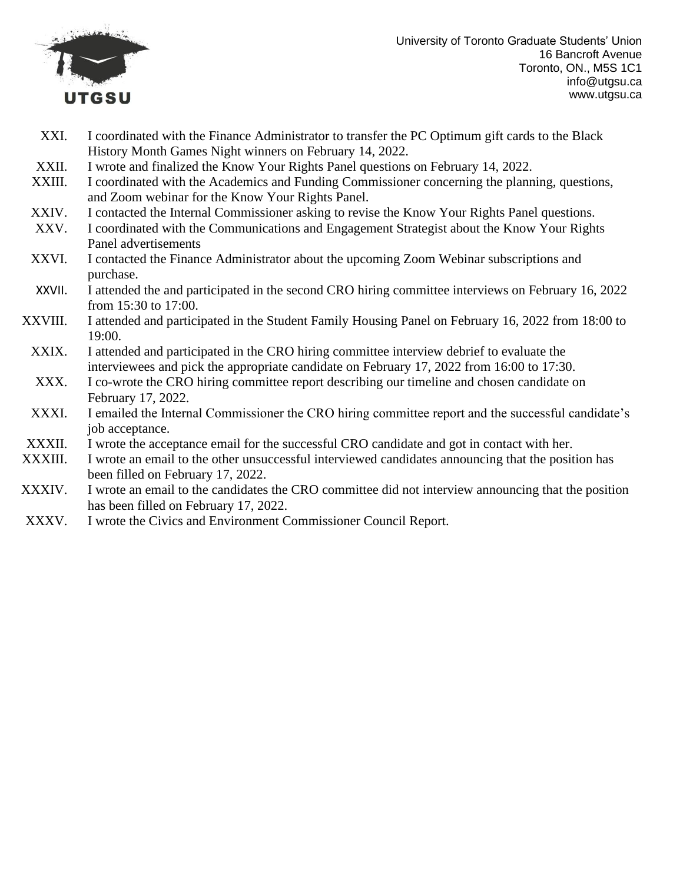

- XXI. I coordinated with the Finance Administrator to transfer the PC Optimum gift cards to the Black History Month Games Night winners on February 14, 2022.
- XXII. I wrote and finalized the Know Your Rights Panel questions on February 14, 2022.
- XXIII. I coordinated with the Academics and Funding Commissioner concerning the planning, questions, and Zoom webinar for the Know Your Rights Panel.
- XXIV. I contacted the Internal Commissioner asking to revise the Know Your Rights Panel questions.
- XXV. I coordinated with the Communications and Engagement Strategist about the Know Your Rights Panel advertisements
- XXVI. I contacted the Finance Administrator about the upcoming Zoom Webinar subscriptions and purchase.
- XXVII. I attended the and participated in the second CRO hiring committee interviews on February 16, 2022 from 15:30 to 17:00.
- XXVIII. I attended and participated in the Student Family Housing Panel on February 16, 2022 from 18:00 to 19:00.
- XXIX. I attended and participated in the CRO hiring committee interview debrief to evaluate the interviewees and pick the appropriate candidate on February 17, 2022 from 16:00 to 17:30.
- XXX. I co-wrote the CRO hiring committee report describing our timeline and chosen candidate on February 17, 2022.
- XXXI. I emailed the Internal Commissioner the CRO hiring committee report and the successful candidate's job acceptance.
- XXXII. I wrote the acceptance email for the successful CRO candidate and got in contact with her.
- XXXIII. I wrote an email to the other unsuccessful interviewed candidates announcing that the position has been filled on February 17, 2022.
- XXXIV. I wrote an email to the candidates the CRO committee did not interview announcing that the position has been filled on February 17, 2022.
- XXXV. I wrote the Civics and Environment Commissioner Council Report.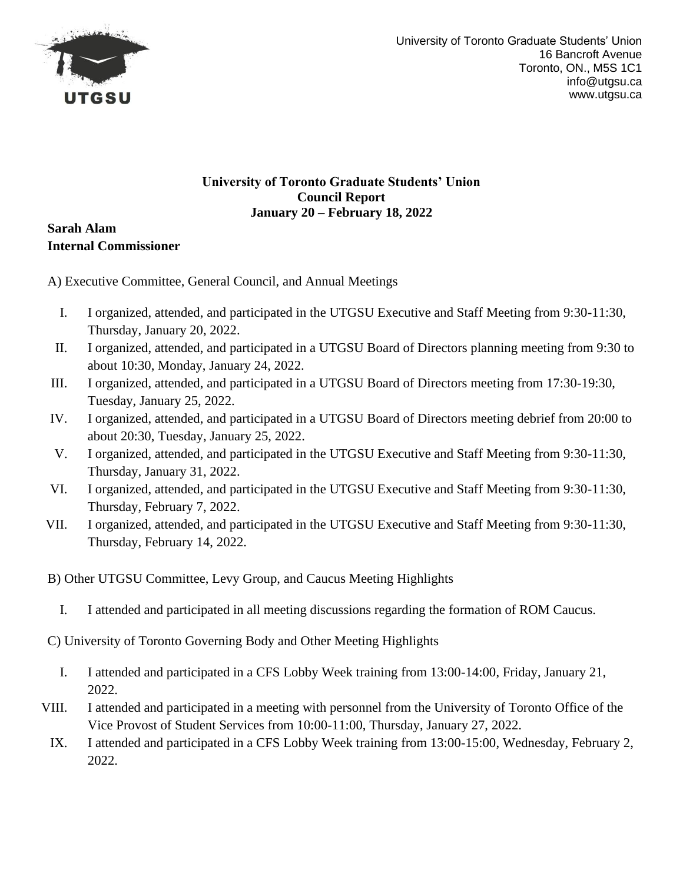

### **University of Toronto Graduate Students' Union Council Report January 20 – February 18, 2022**

**Sarah Alam Internal Commissioner**

A) Executive Committee, General Council, and Annual Meetings

- I. I organized, attended, and participated in the UTGSU Executive and Staff Meeting from 9:30-11:30, Thursday, January 20, 2022.
- II. I organized, attended, and participated in a UTGSU Board of Directors planning meeting from 9:30 to about 10:30, Monday, January 24, 2022.
- III. I organized, attended, and participated in a UTGSU Board of Directors meeting from 17:30-19:30, Tuesday, January 25, 2022.
- IV. I organized, attended, and participated in a UTGSU Board of Directors meeting debrief from 20:00 to about 20:30, Tuesday, January 25, 2022.
- V. I organized, attended, and participated in the UTGSU Executive and Staff Meeting from 9:30-11:30, Thursday, January 31, 2022.
- VI. I organized, attended, and participated in the UTGSU Executive and Staff Meeting from 9:30-11:30, Thursday, February 7, 2022.
- VII. I organized, attended, and participated in the UTGSU Executive and Staff Meeting from 9:30-11:30, Thursday, February 14, 2022.
- B) Other UTGSU Committee, Levy Group, and Caucus Meeting Highlights
	- I. I attended and participated in all meeting discussions regarding the formation of ROM Caucus.

C) University of Toronto Governing Body and Other Meeting Highlights

- I. I attended and participated in a CFS Lobby Week training from 13:00-14:00, Friday, January 21, 2022.
- VIII. I attended and participated in a meeting with personnel from the University of Toronto Office of the Vice Provost of Student Services from 10:00-11:00, Thursday, January 27, 2022.
	- IX. I attended and participated in a CFS Lobby Week training from 13:00-15:00, Wednesday, February 2, 2022.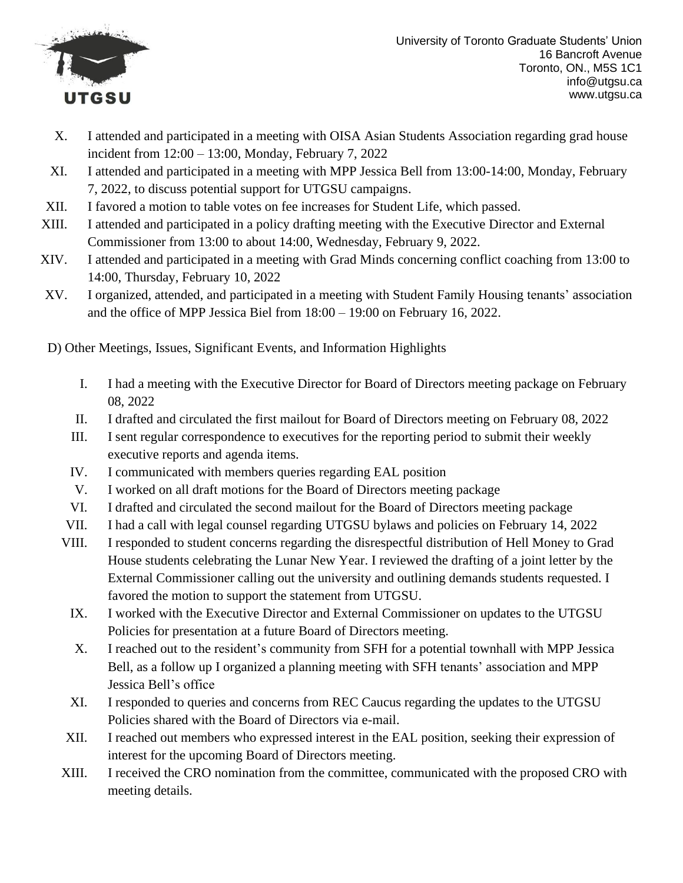

University of Toronto Graduate Students' Union 16 Bancroft Avenue Toronto, ON., M5S 1C1 info@utgsu.ca www.utgsu.ca

- X. I attended and participated in a meeting with OISA Asian Students Association regarding grad house incident from 12:00 – 13:00, Monday, February 7, 2022
- XI. I attended and participated in a meeting with MPP Jessica Bell from 13:00-14:00, Monday, February 7, 2022, to discuss potential support for UTGSU campaigns.
- XII. I favored a motion to table votes on fee increases for Student Life, which passed.
- XIII. I attended and participated in a policy drafting meeting with the Executive Director and External Commissioner from 13:00 to about 14:00, Wednesday, February 9, 2022.
- XIV. I attended and participated in a meeting with Grad Minds concerning conflict coaching from 13:00 to 14:00, Thursday, February 10, 2022
- XV. I organized, attended, and participated in a meeting with Student Family Housing tenants' association and the office of MPP Jessica Biel from 18:00 – 19:00 on February 16, 2022.

- I. I had a meeting with the Executive Director for Board of Directors meeting package on February 08, 2022
- II. I drafted and circulated the first mailout for Board of Directors meeting on February 08, 2022
- III. I sent regular correspondence to executives for the reporting period to submit their weekly executive reports and agenda items.
- IV. I communicated with members queries regarding EAL position
- V. I worked on all draft motions for the Board of Directors meeting package
- VI. I drafted and circulated the second mailout for the Board of Directors meeting package
- VII. I had a call with legal counsel regarding UTGSU bylaws and policies on February 14, 2022
- VIII. I responded to student concerns regarding the disrespectful distribution of Hell Money to Grad House students celebrating the Lunar New Year. I reviewed the drafting of a joint letter by the External Commissioner calling out the university and outlining demands students requested. I favored the motion to support the statement from UTGSU.
	- IX. I worked with the Executive Director and External Commissioner on updates to the UTGSU Policies for presentation at a future Board of Directors meeting.
	- X. I reached out to the resident's community from SFH for a potential townhall with MPP Jessica Bell, as a follow up I organized a planning meeting with SFH tenants' association and MPP Jessica Bell's office
	- XI. I responded to queries and concerns from REC Caucus regarding the updates to the UTGSU Policies shared with the Board of Directors via e-mail.
- XII. I reached out members who expressed interest in the EAL position, seeking their expression of interest for the upcoming Board of Directors meeting.
- XIII. I received the CRO nomination from the committee, communicated with the proposed CRO with meeting details.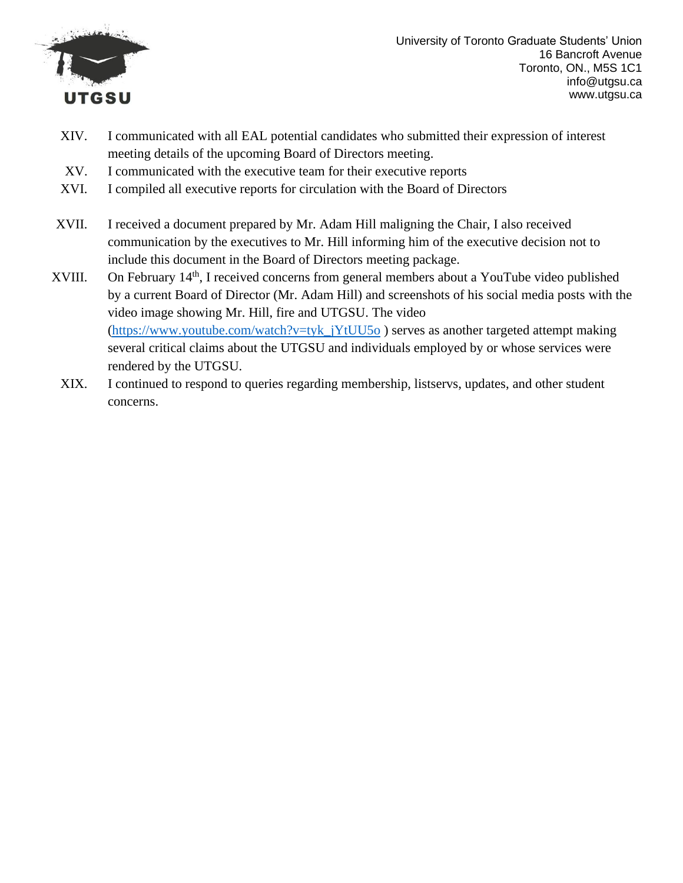

University of Toronto Graduate Students' Union 16 Bancroft Avenue Toronto, ON., M5S 1C1 info@utgsu.ca www.utgsu.ca

- XIV. I communicated with all EAL potential candidates who submitted their expression of interest meeting details of the upcoming Board of Directors meeting.
- XV. I communicated with the executive team for their executive reports
- XVI. I compiled all executive reports for circulation with the Board of Directors
- XVII. I received a document prepared by Mr. Adam Hill maligning the Chair, I also received communication by the executives to Mr. Hill informing him of the executive decision not to include this document in the Board of Directors meeting package.
- XVIII. On February 14<sup>th</sup>, I received concerns from general members about a YouTube video published by a current Board of Director (Mr. Adam Hill) and screenshots of his social media posts with the video image showing Mr. Hill, fire and UTGSU. The video [\(https://www.youtube.com/watch?v=tyk\\_jYtUU5o](https://www.youtube.com/watch?v=tyk_jYtUU5o) ) serves as another targeted attempt making several critical claims about the UTGSU and individuals employed by or whose services were rendered by the UTGSU.
	- XIX. I continued to respond to queries regarding membership, listservs, updates, and other student concerns.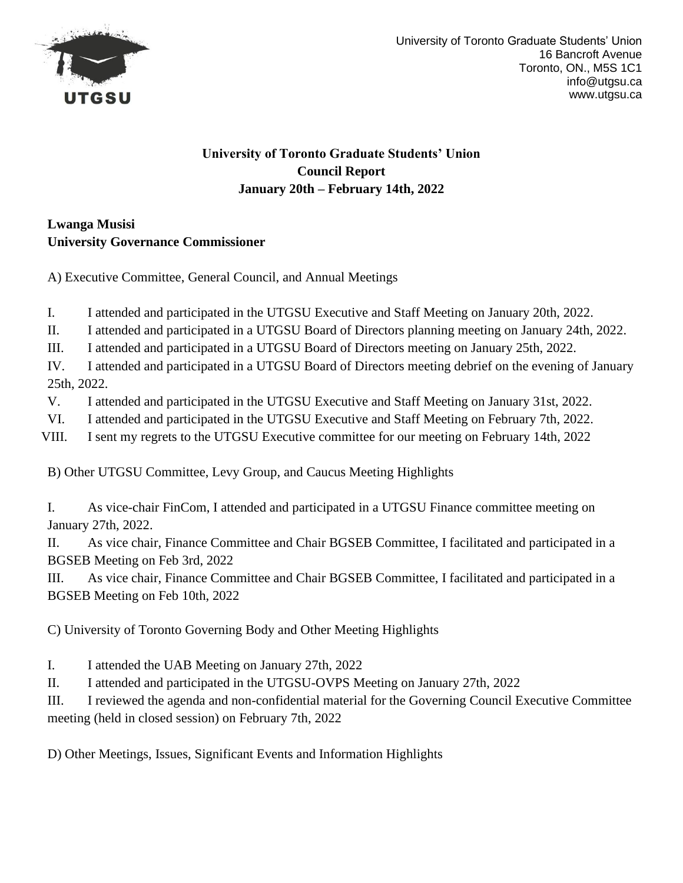

# **University of Toronto Graduate Students' Union Council Report January 20th – February 14th, 2022**

# **Lwanga Musisi University Governance Commissioner**

A) Executive Committee, General Council, and Annual Meetings

I. I attended and participated in the UTGSU Executive and Staff Meeting on January 20th, 2022.

II. I attended and participated in a UTGSU Board of Directors planning meeting on January 24th, 2022.

III. I attended and participated in a UTGSU Board of Directors meeting on January 25th, 2022.

IV. I attended and participated in a UTGSU Board of Directors meeting debrief on the evening of January 25th, 2022.

- V. I attended and participated in the UTGSU Executive and Staff Meeting on January 31st, 2022.
- VI. I attended and participated in the UTGSU Executive and Staff Meeting on February 7th, 2022.
- VIII. I sent my regrets to the UTGSU Executive committee for our meeting on February 14th, 2022

B) Other UTGSU Committee, Levy Group, and Caucus Meeting Highlights

I. As vice-chair FinCom, I attended and participated in a UTGSU Finance committee meeting on January 27th, 2022.

II. As vice chair, Finance Committee and Chair BGSEB Committee, I facilitated and participated in a BGSEB Meeting on Feb 3rd, 2022

III. As vice chair, Finance Committee and Chair BGSEB Committee, I facilitated and participated in a BGSEB Meeting on Feb 10th, 2022

C) University of Toronto Governing Body and Other Meeting Highlights

I. I attended the UAB Meeting on January 27th, 2022

II. I attended and participated in the UTGSU-OVPS Meeting on January 27th, 2022

III. I reviewed the agenda and non-confidential material for the Governing Council Executive Committee meeting (held in closed session) on February 7th, 2022